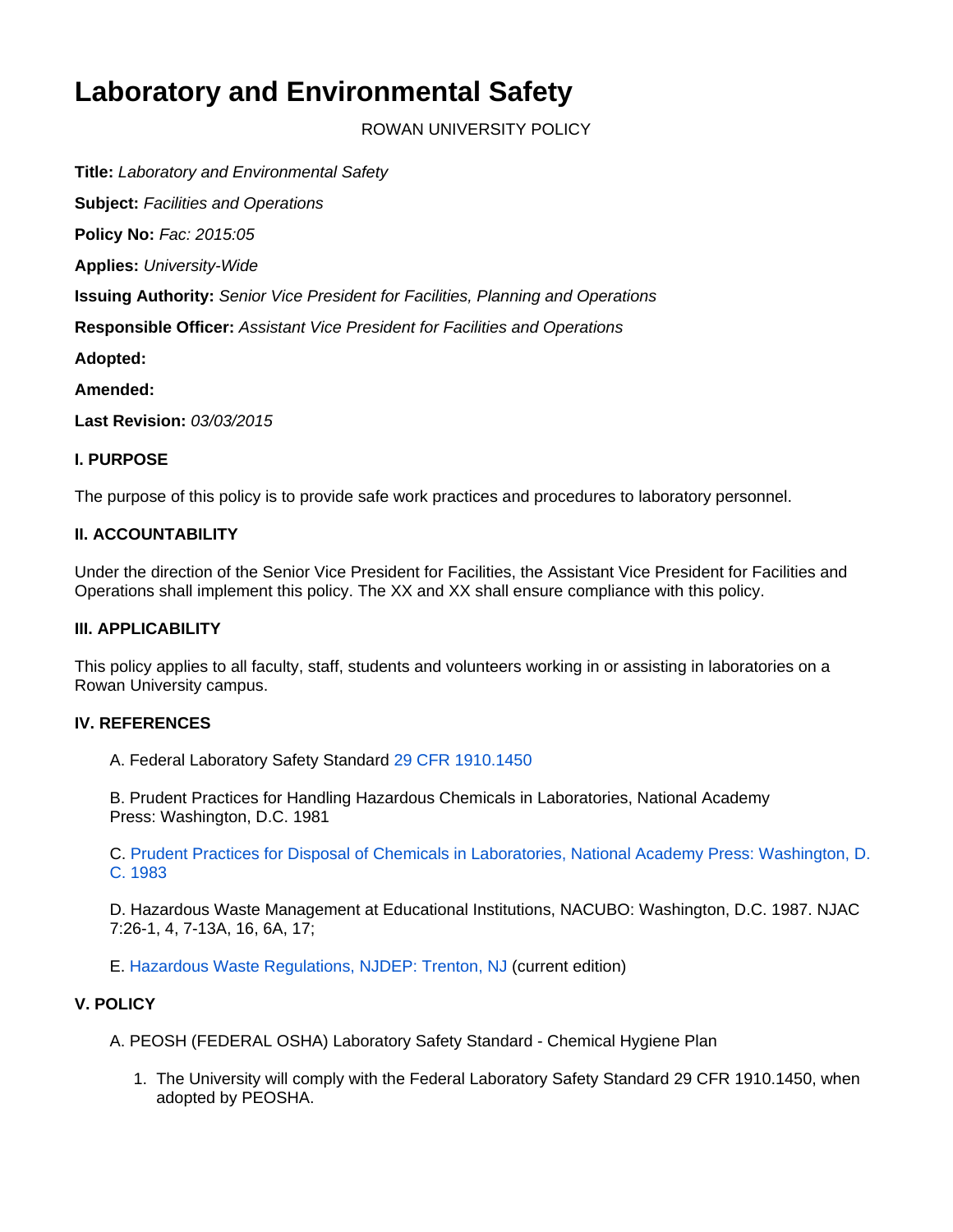# **Laboratory and Environmental Safety**

ROWAN UNIVERSITY POLICY

**Title:** Laboratory and Environmental Safety

**Subject:** Facilities and Operations **Policy No:** Fac: 2015:05 **Applies:** University-Wide **Issuing Authority:** Senior Vice President for Facilities, Planning and Operations **Responsible Officer:** Assistant Vice President for Facilities and Operations **Adopted: Amended:** 

**Last Revision:** 03/03/2015

#### **I. PURPOSE**

The purpose of this policy is to provide safe work practices and procedures to laboratory personnel.

## **II. ACCOUNTABILITY**

Under the direction of the Senior Vice President for Facilities, the Assistant Vice President for Facilities and Operations shall implement this policy. The XX and XX shall ensure compliance with this policy.

#### **III. APPLICABILITY**

This policy applies to all faculty, staff, students and volunteers working in or assisting in laboratories on a Rowan University campus.

#### **IV. REFERENCES**

A. Federal Laboratory Safety Standard [29 CFR 1910.1450](http://www.gpo.gov/fdsys/pkg/CFR-2010-title29-vol6/pdf/CFR-2010-title29-vol6-sec1910-1450.pdf)

B. Prudent Practices for Handling Hazardous Chemicals in Laboratories, National Academy Press: Washington, D.C. 1981

C. [Prudent Practices for Disposal of Chemicals in Laboratories, National Academy Press: Washington, D.](http://www.nap.edu/read/4911/chapter/1) [C. 1983](http://www.nap.edu/read/4911/chapter/1)

D. Hazardous Waste Management at Educational Institutions, NACUBO: Washington, D.C. 1987. NJAC 7:26-1, 4, 7-13A, 16, 6A, 17;

E. [Hazardous Waste Regulations, NJDEP: Trenton, NJ](http://www.nj.gov/dep/dshw/) (current edition)

## **V. POLICY**

A. PEOSH (FEDERAL OSHA) Laboratory Safety Standard - Chemical Hygiene Plan

1. The University will comply with the Federal Laboratory Safety Standard 29 CFR 1910.1450, when adopted by PEOSHA.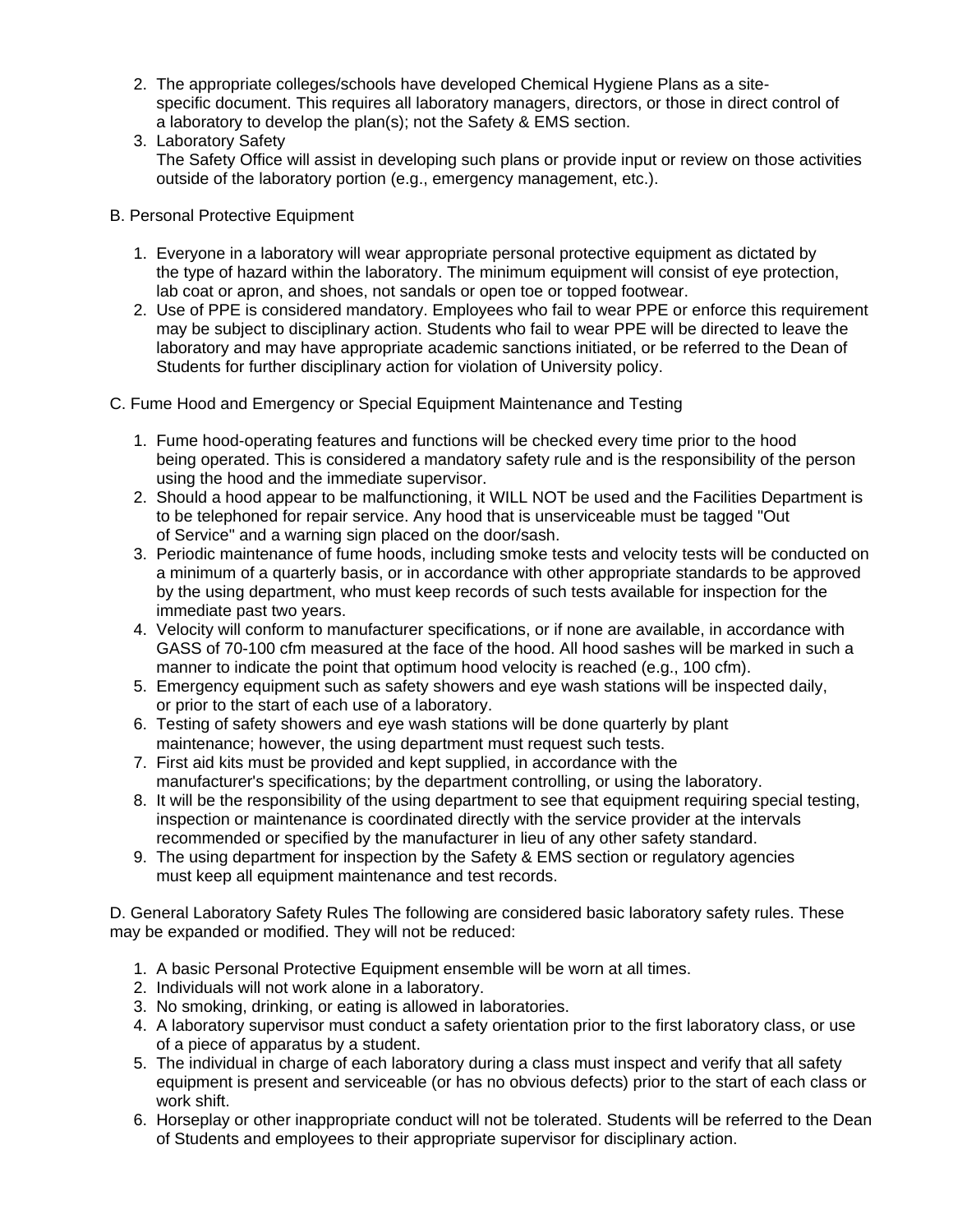- 2. The appropriate colleges/schools have developed Chemical Hygiene Plans as a sitespecific document. This requires all laboratory managers, directors, or those in direct control of a laboratory to develop the plan(s); not the Safety & EMS section.
- 3. Laboratory Safety The Safety Office will assist in developing such plans or provide input or review on those activities outside of the laboratory portion (e.g., emergency management, etc.).
- B. Personal Protective Equipment
	- 1. Everyone in a laboratory will wear appropriate personal protective equipment as dictated by the type of hazard within the laboratory. The minimum equipment will consist of eye protection, lab coat or apron, and shoes, not sandals or open toe or topped footwear.
	- 2. Use of PPE is considered mandatory. Employees who fail to wear PPE or enforce this requirement may be subject to disciplinary action. Students who fail to wear PPE will be directed to leave the laboratory and may have appropriate academic sanctions initiated, or be referred to the Dean of Students for further disciplinary action for violation of University policy.
- C. Fume Hood and Emergency or Special Equipment Maintenance and Testing
	- 1. Fume hood-operating features and functions will be checked every time prior to the hood being operated. This is considered a mandatory safety rule and is the responsibility of the person using the hood and the immediate supervisor.
	- 2. Should a hood appear to be malfunctioning, it WILL NOT be used and the Facilities Department is to be telephoned for repair service. Any hood that is unserviceable must be tagged "Out of Service" and a warning sign placed on the door/sash.
	- 3. Periodic maintenance of fume hoods, including smoke tests and velocity tests will be conducted on a minimum of a quarterly basis, or in accordance with other appropriate standards to be approved by the using department, who must keep records of such tests available for inspection for the immediate past two years.
	- 4. Velocity will conform to manufacturer specifications, or if none are available, in accordance with GASS of 70-100 cfm measured at the face of the hood. All hood sashes will be marked in such a manner to indicate the point that optimum hood velocity is reached (e.g., 100 cfm).
	- 5. Emergency equipment such as safety showers and eye wash stations will be inspected daily, or prior to the start of each use of a laboratory.
	- 6. Testing of safety showers and eye wash stations will be done quarterly by plant maintenance; however, the using department must request such tests.
	- 7. First aid kits must be provided and kept supplied, in accordance with the manufacturer's specifications; by the department controlling, or using the laboratory.
	- 8. It will be the responsibility of the using department to see that equipment requiring special testing, inspection or maintenance is coordinated directly with the service provider at the intervals recommended or specified by the manufacturer in lieu of any other safety standard.
	- 9. The using department for inspection by the Safety & EMS section or regulatory agencies must keep all equipment maintenance and test records.

D. General Laboratory Safety Rules The following are considered basic laboratory safety rules. These may be expanded or modified. They will not be reduced:

- 1. A basic Personal Protective Equipment ensemble will be worn at all times.
- 2. Individuals will not work alone in a laboratory.
- 3. No smoking, drinking, or eating is allowed in laboratories.
- 4. A laboratory supervisor must conduct a safety orientation prior to the first laboratory class, or use of a piece of apparatus by a student.
- 5. The individual in charge of each laboratory during a class must inspect and verify that all safety equipment is present and serviceable (or has no obvious defects) prior to the start of each class or work shift.
- 6. Horseplay or other inappropriate conduct will not be tolerated. Students will be referred to the Dean of Students and employees to their appropriate supervisor for disciplinary action.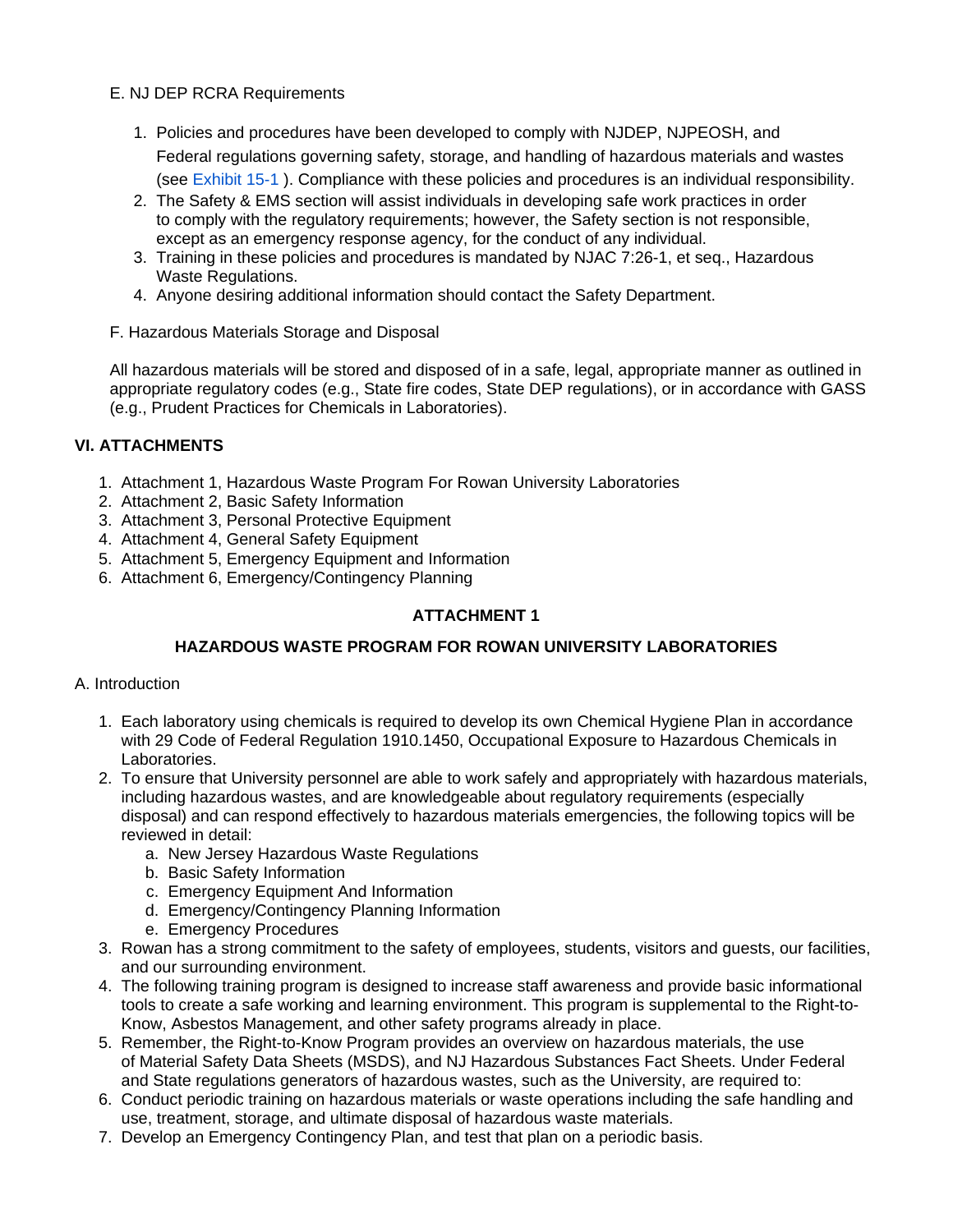## E. NJ DEP RCRA Requirements

- 1. Policies and procedures have been developed to comply with NJDEP, NJPEOSH, and Federal regulations governing safety, storage, and handling of hazardous materials and wastes (see Exhibit 15-1 ). Compliance with these policies and procedures is an individual responsibility.
- 2. The Safety & EMS section will assist individuals in developing safe work practices in order to comply with the regulatory requirements; however, the Safety section is not responsible, except as an emergency response agency, for the conduct of any individual.
- 3. Training in these policies and procedures is mandated by NJAC 7:26-1, et seq., Hazardous Waste Regulations.
- 4. Anyone desiring additional information should contact the Safety Department.
- F. Hazardous Materials Storage and Disposal

All hazardous materials will be stored and disposed of in a safe, legal, appropriate manner as outlined in appropriate regulatory codes (e.g., State fire codes, State DEP regulations), or in accordance with GASS (e.g., Prudent Practices for Chemicals in Laboratories).

# **VI. ATTACHMENTS**

- 1. Attachment 1, Hazardous Waste Program For Rowan University Laboratories
- 2. Attachment 2, Basic Safety Information
- 3. Attachment 3, Personal Protective Equipment
- 4. Attachment 4, General Safety Equipment
- 5. Attachment 5, Emergency Equipment and Information
- 6. Attachment 6, Emergency/Contingency Planning

# **ATTACHMENT 1**

# **HAZARDOUS WASTE PROGRAM FOR ROWAN UNIVERSITY LABORATORIES**

## A. Introduction

- 1. Each laboratory using chemicals is required to develop its own Chemical Hygiene Plan in accordance with 29 Code of Federal Regulation 1910.1450, Occupational Exposure to Hazardous Chemicals in Laboratories.
- 2. To ensure that University personnel are able to work safely and appropriately with hazardous materials, including hazardous wastes, and are knowledgeable about regulatory requirements (especially disposal) and can respond effectively to hazardous materials emergencies, the following topics will be reviewed in detail:
	- a. New Jersey Hazardous Waste Regulations
	- b. Basic Safety Information
	- c. Emergency Equipment And Information
	- d. Emergency/Contingency Planning Information
	- e. Emergency Procedures
- 3. Rowan has a strong commitment to the safety of employees, students, visitors and guests, our facilities, and our surrounding environment.
- 4. The following training program is designed to increase staff awareness and provide basic informational tools to create a safe working and learning environment. This program is supplemental to the Right-to-Know, Asbestos Management, and other safety programs already in place.
- 5. Remember, the Right-to-Know Program provides an overview on hazardous materials, the use of Material Safety Data Sheets (MSDS), and NJ Hazardous Substances Fact Sheets. Under Federal and State regulations generators of hazardous wastes, such as the University, are required to:
- 6. Conduct periodic training on hazardous materials or waste operations including the safe handling and use, treatment, storage, and ultimate disposal of hazardous waste materials.
- 7. Develop an Emergency Contingency Plan, and test that plan on a periodic basis.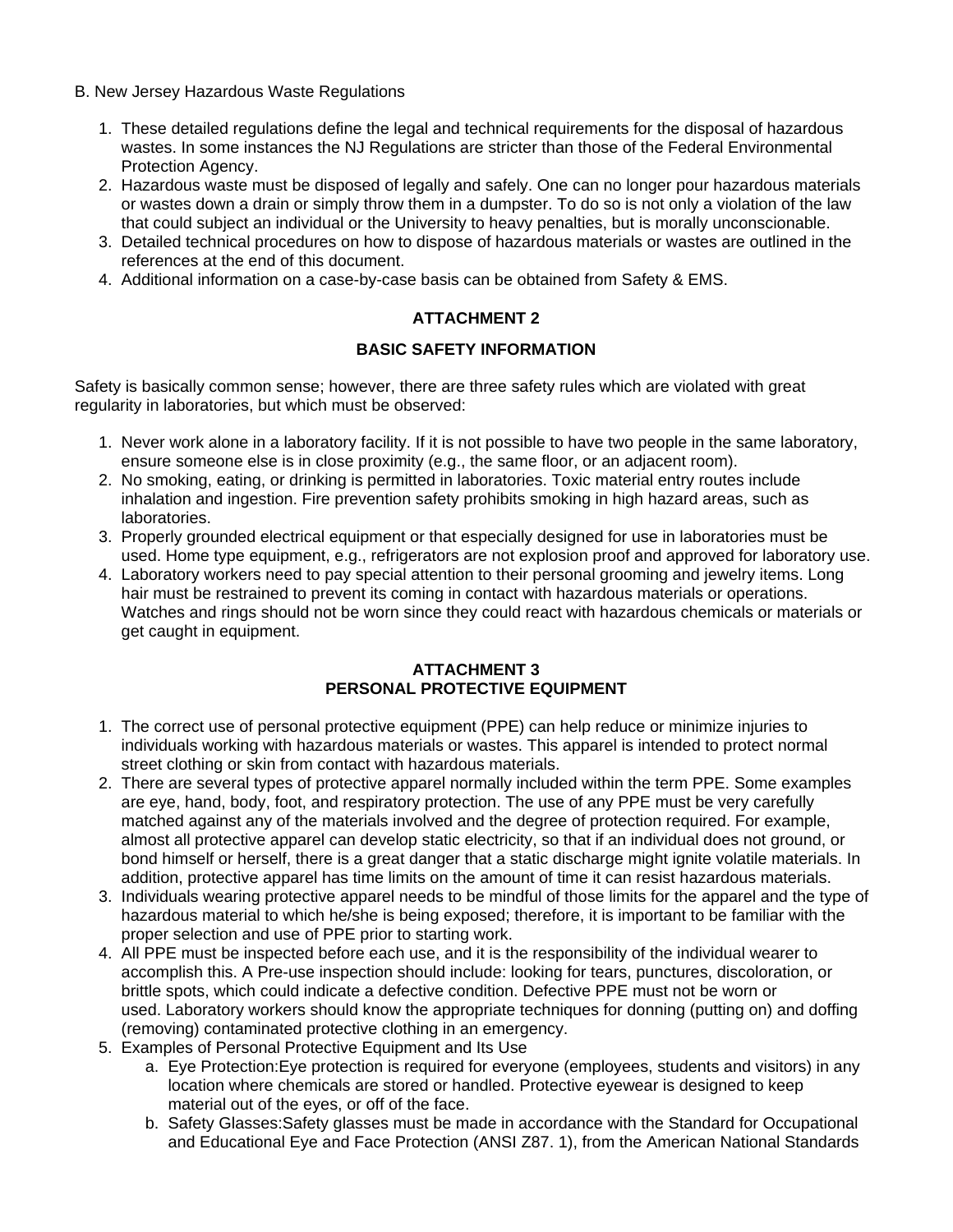- B. New Jersey Hazardous Waste Regulations
	- 1. These detailed regulations define the legal and technical requirements for the disposal of hazardous wastes. In some instances the NJ Regulations are stricter than those of the Federal Environmental Protection Agency.
	- 2. Hazardous waste must be disposed of legally and safely. One can no longer pour hazardous materials or wastes down a drain or simply throw them in a dumpster. To do so is not only a violation of the law that could subject an individual or the University to heavy penalties, but is morally unconscionable.
	- 3. Detailed technical procedures on how to dispose of hazardous materials or wastes are outlined in the references at the end of this document.
	- 4. Additional information on a case-by-case basis can be obtained from Safety & EMS.

# **ATTACHMENT 2**

## **BASIC SAFETY INFORMATION**

Safety is basically common sense; however, there are three safety rules which are violated with great regularity in laboratories, but which must be observed:

- 1. Never work alone in a laboratory facility. If it is not possible to have two people in the same laboratory, ensure someone else is in close proximity (e.g., the same floor, or an adjacent room).
- 2. No smoking, eating, or drinking is permitted in laboratories. Toxic material entry routes include inhalation and ingestion. Fire prevention safety prohibits smoking in high hazard areas, such as laboratories.
- 3. Properly grounded electrical equipment or that especially designed for use in laboratories must be used. Home type equipment, e.g., refrigerators are not explosion proof and approved for laboratory use.
- 4. Laboratory workers need to pay special attention to their personal grooming and jewelry items. Long hair must be restrained to prevent its coming in contact with hazardous materials or operations. Watches and rings should not be worn since they could react with hazardous chemicals or materials or get caught in equipment.

## **ATTACHMENT 3 PERSONAL PROTECTIVE EQUIPMENT**

- 1. The correct use of personal protective equipment (PPE) can help reduce or minimize injuries to individuals working with hazardous materials or wastes. This apparel is intended to protect normal street clothing or skin from contact with hazardous materials.
- 2. There are several types of protective apparel normally included within the term PPE. Some examples are eye, hand, body, foot, and respiratory protection. The use of any PPE must be very carefully matched against any of the materials involved and the degree of protection required. For example, almost all protective apparel can develop static electricity, so that if an individual does not ground, or bond himself or herself, there is a great danger that a static discharge might ignite volatile materials. In addition, protective apparel has time limits on the amount of time it can resist hazardous materials.
- 3. Individuals wearing protective apparel needs to be mindful of those limits for the apparel and the type of hazardous material to which he/she is being exposed; therefore, it is important to be familiar with the proper selection and use of PPE prior to starting work.
- 4. All PPE must be inspected before each use, and it is the responsibility of the individual wearer to accomplish this. A Pre-use inspection should include: looking for tears, punctures, discoloration, or brittle spots, which could indicate a defective condition. Defective PPE must not be worn or used. Laboratory workers should know the appropriate techniques for donning (putting on) and doffing (removing) contaminated protective clothing in an emergency.
- 5. Examples of Personal Protective Equipment and Its Use
	- a. Eye Protection:Eye protection is required for everyone (employees, students and visitors) in any location where chemicals are stored or handled. Protective eyewear is designed to keep material out of the eyes, or off of the face.
	- b. Safety Glasses:Safety glasses must be made in accordance with the Standard for Occupational and Educational Eye and Face Protection (ANSI Z87. 1), from the American National Standards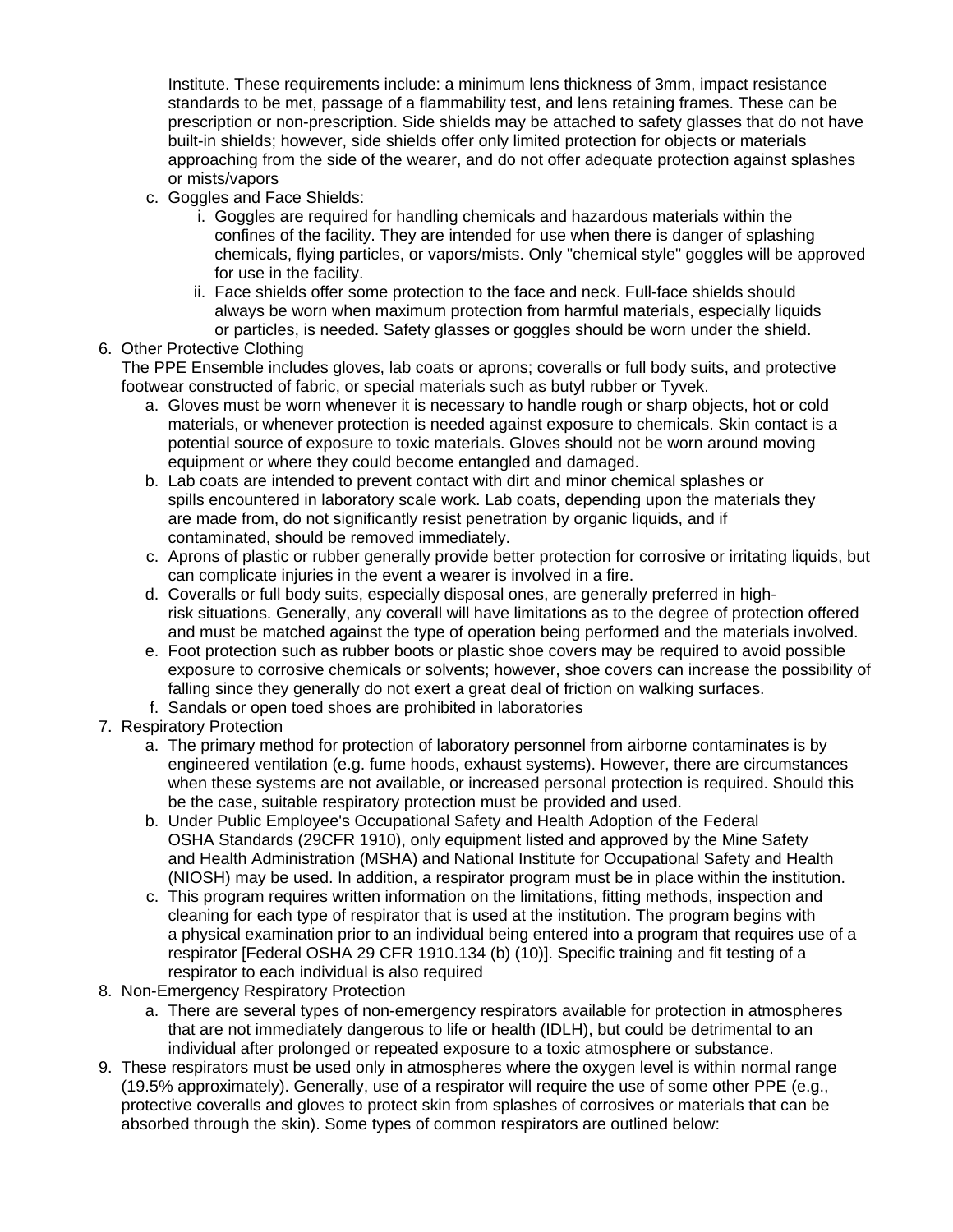Institute. These requirements include: a minimum lens thickness of 3mm, impact resistance standards to be met, passage of a flammability test, and lens retaining frames. These can be prescription or non-prescription. Side shields may be attached to safety glasses that do not have built-in shields; however, side shields offer only limited protection for objects or materials approaching from the side of the wearer, and do not offer adequate protection against splashes or mists/vapors

- c. Goggles and Face Shields:
	- i. Goggles are required for handling chemicals and hazardous materials within the confines of the facility. They are intended for use when there is danger of splashing chemicals, flying particles, or vapors/mists. Only "chemical style" goggles will be approved for use in the facility.
	- ii. Face shields offer some protection to the face and neck. Full-face shields should always be worn when maximum protection from harmful materials, especially liquids or particles, is needed. Safety glasses or goggles should be worn under the shield.
- 6. Other Protective Clothing

The PPE Ensemble includes gloves, lab coats or aprons; coveralls or full body suits, and protective footwear constructed of fabric, or special materials such as butyl rubber or Tyvek.

- a. Gloves must be worn whenever it is necessary to handle rough or sharp objects, hot or cold materials, or whenever protection is needed against exposure to chemicals. Skin contact is a potential source of exposure to toxic materials. Gloves should not be worn around moving equipment or where they could become entangled and damaged.
- b. Lab coats are intended to prevent contact with dirt and minor chemical splashes or spills encountered in laboratory scale work. Lab coats, depending upon the materials they are made from, do not significantly resist penetration by organic liquids, and if contaminated, should be removed immediately.
- c. Aprons of plastic or rubber generally provide better protection for corrosive or irritating liquids, but can complicate injuries in the event a wearer is involved in a fire.
- d. Coveralls or full body suits, especially disposal ones, are generally preferred in highrisk situations. Generally, any coverall will have limitations as to the degree of protection offered and must be matched against the type of operation being performed and the materials involved.
- e. Foot protection such as rubber boots or plastic shoe covers may be required to avoid possible exposure to corrosive chemicals or solvents; however, shoe covers can increase the possibility of falling since they generally do not exert a great deal of friction on walking surfaces.
- f. Sandals or open toed shoes are prohibited in laboratories
- 7. Respiratory Protection
	- a. The primary method for protection of laboratory personnel from airborne contaminates is by engineered ventilation (e.g. fume hoods, exhaust systems). However, there are circumstances when these systems are not available, or increased personal protection is required. Should this be the case, suitable respiratory protection must be provided and used.
	- b. Under Public Employee's Occupational Safety and Health Adoption of the Federal OSHA Standards (29CFR 1910), only equipment listed and approved by the Mine Safety and Health Administration (MSHA) and National Institute for Occupational Safety and Health (NIOSH) may be used. In addition, a respirator program must be in place within the institution.
	- c. This program requires written information on the limitations, fitting methods, inspection and cleaning for each type of respirator that is used at the institution. The program begins with a physical examination prior to an individual being entered into a program that requires use of a respirator [Federal OSHA 29 CFR 1910.134 (b) (10)]. Specific training and fit testing of a respirator to each individual is also required
- 8. Non-Emergency Respiratory Protection
	- a. There are several types of non-emergency respirators available for protection in atmospheres that are not immediately dangerous to life or health (IDLH), but could be detrimental to an individual after prolonged or repeated exposure to a toxic atmosphere or substance.
- 9. These respirators must be used only in atmospheres where the oxygen level is within normal range (19.5% approximately). Generally, use of a respirator will require the use of some other PPE (e.g., protective coveralls and gloves to protect skin from splashes of corrosives or materials that can be absorbed through the skin). Some types of common respirators are outlined below: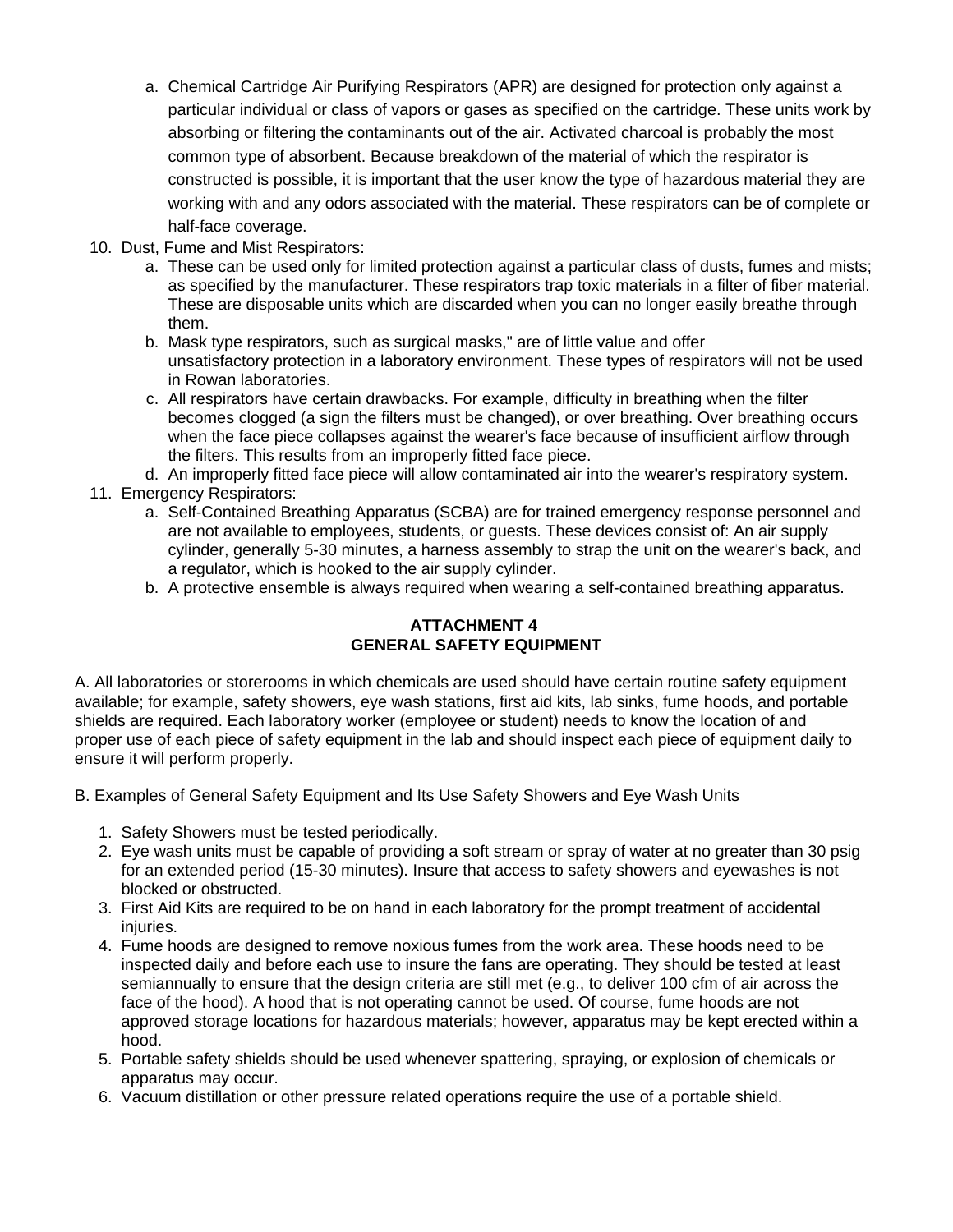- a. Chemical Cartridge Air Purifying Respirators (APR) are designed for protection only against a particular individual or class of vapors or gases as specified on the cartridge. These units work by absorbing or filtering the contaminants out of the air. Activated charcoal is probably the most common type of absorbent. Because breakdown of the material of which the respirator is constructed is possible, it is important that the user know the type of hazardous material they are working with and any odors associated with the material. These respirators can be of complete or half-face coverage.
- 10. Dust, Fume and Mist Respirators:
	- a. These can be used only for limited protection against a particular class of dusts, fumes and mists; as specified by the manufacturer. These respirators trap toxic materials in a filter of fiber material. These are disposable units which are discarded when you can no longer easily breathe through them.
	- b. Mask type respirators, such as surgical masks," are of little value and offer unsatisfactory protection in a laboratory environment. These types of respirators will not be used in Rowan laboratories.
	- c. All respirators have certain drawbacks. For example, difficulty in breathing when the filter becomes clogged (a sign the filters must be changed), or over breathing. Over breathing occurs when the face piece collapses against the wearer's face because of insufficient airflow through the filters. This results from an improperly fitted face piece.

d. An improperly fitted face piece will allow contaminated air into the wearer's respiratory system.

- 11. Emergency Respirators:
	- a. Self-Contained Breathing Apparatus (SCBA) are for trained emergency response personnel and are not available to employees, students, or guests. These devices consist of: An air supply cylinder, generally 5-30 minutes, a harness assembly to strap the unit on the wearer's back, and a regulator, which is hooked to the air supply cylinder.
	- b. A protective ensemble is always required when wearing a self-contained breathing apparatus.

# **ATTACHMENT 4 GENERAL SAFETY EQUIPMENT**

A. All laboratories or storerooms in which chemicals are used should have certain routine safety equipment available; for example, safety showers, eye wash stations, first aid kits, lab sinks, fume hoods, and portable shields are required. Each laboratory worker (employee or student) needs to know the location of and proper use of each piece of safety equipment in the lab and should inspect each piece of equipment daily to ensure it will perform properly.

- B. Examples of General Safety Equipment and Its Use Safety Showers and Eye Wash Units
	- 1. Safety Showers must be tested periodically.
	- 2. Eye wash units must be capable of providing a soft stream or spray of water at no greater than 30 psig for an extended period (15-30 minutes). Insure that access to safety showers and eyewashes is not blocked or obstructed.
	- 3. First Aid Kits are required to be on hand in each laboratory for the prompt treatment of accidental injuries.
	- 4. Fume hoods are designed to remove noxious fumes from the work area. These hoods need to be inspected daily and before each use to insure the fans are operating. They should be tested at least semiannually to ensure that the design criteria are still met (e.g., to deliver 100 cfm of air across the face of the hood). A hood that is not operating cannot be used. Of course, fume hoods are not approved storage locations for hazardous materials; however, apparatus may be kept erected within a hood.
	- 5. Portable safety shields should be used whenever spattering, spraying, or explosion of chemicals or apparatus may occur.
	- 6. Vacuum distillation or other pressure related operations require the use of a portable shield.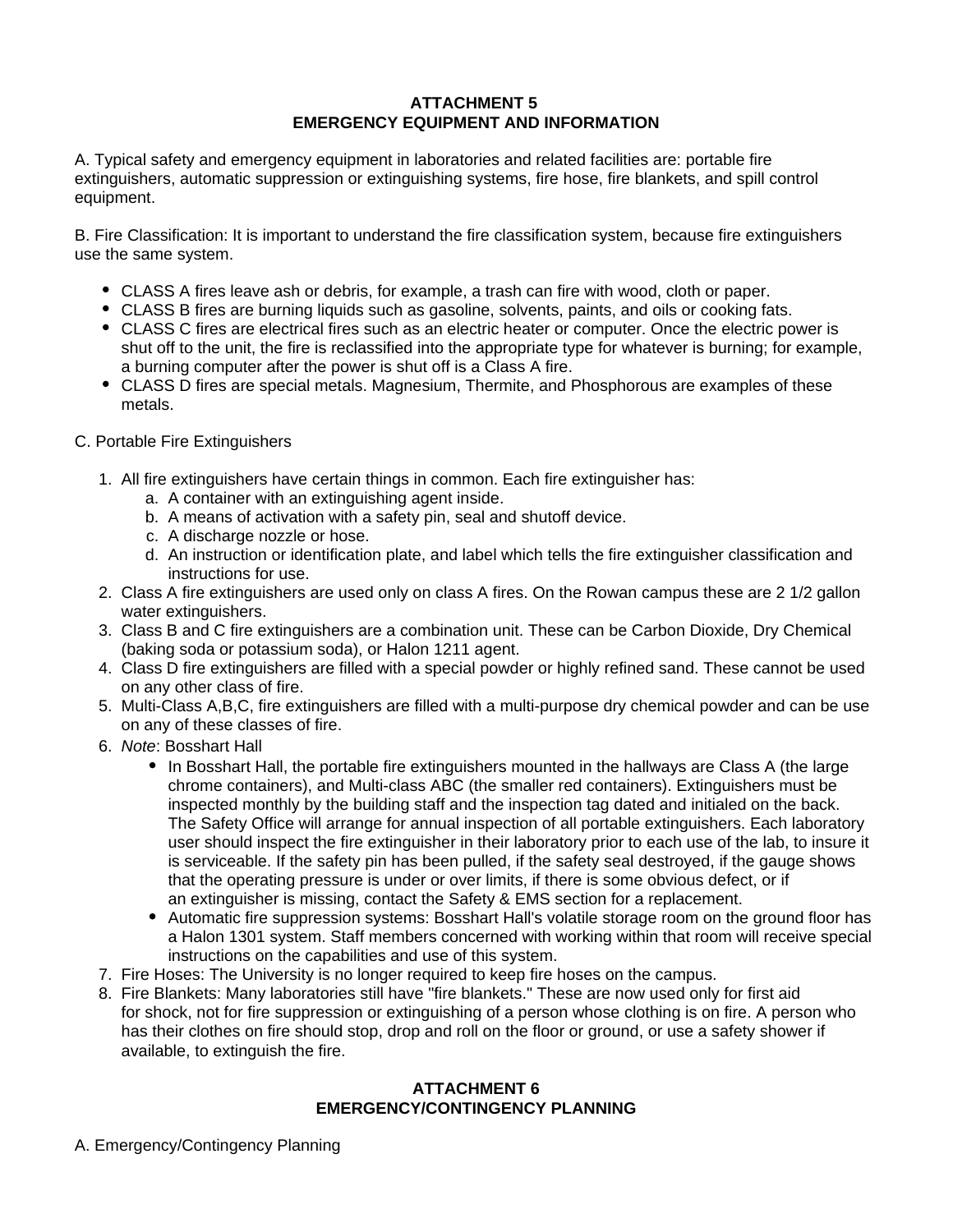## **ATTACHMENT 5 EMERGENCY EQUIPMENT AND INFORMATION**

A. Typical safety and emergency equipment in laboratories and related facilities are: portable fire extinguishers, automatic suppression or extinguishing systems, fire hose, fire blankets, and spill control equipment.

B. Fire Classification: It is important to understand the fire classification system, because fire extinguishers use the same system.

- CLASS A fires leave ash or debris, for example, a trash can fire with wood, cloth or paper.
- CLASS B fires are burning liquids such as gasoline, solvents, paints, and oils or cooking fats.
- CLASS C fires are electrical fires such as an electric heater or computer. Once the electric power is shut off to the unit, the fire is reclassified into the appropriate type for whatever is burning; for example, a burning computer after the power is shut off is a Class A fire.
- CLASS D fires are special metals. Magnesium, Thermite, and Phosphorous are examples of these metals.
- C. Portable Fire Extinguishers
	- 1. All fire extinguishers have certain things in common. Each fire extinguisher has:
		- a. A container with an extinguishing agent inside.
		- b. A means of activation with a safety pin, seal and shutoff device.
		- c. A discharge nozzle or hose.
		- d. An instruction or identification plate, and label which tells the fire extinguisher classification and instructions for use.
	- 2. Class A fire extinguishers are used only on class A fires. On the Rowan campus these are 2 1/2 gallon water extinguishers.
	- 3. Class B and C fire extinguishers are a combination unit. These can be Carbon Dioxide, Dry Chemical (baking soda or potassium soda), or Halon 1211 agent.
	- 4. Class D fire extinguishers are filled with a special powder or highly refined sand. These cannot be used on any other class of fire.
	- 5. Multi-Class A,B,C, fire extinguishers are filled with a multi-purpose dry chemical powder and can be use on any of these classes of fire.
	- 6. Note: Bosshart Hall
		- In Bosshart Hall, the portable fire extinguishers mounted in the hallways are Class A (the large chrome containers), and Multi-class ABC (the smaller red containers). Extinguishers must be inspected monthly by the building staff and the inspection tag dated and initialed on the back. The Safety Office will arrange for annual inspection of all portable extinguishers. Each laboratory user should inspect the fire extinguisher in their laboratory prior to each use of the lab, to insure it is serviceable. If the safety pin has been pulled, if the safety seal destroyed, if the gauge shows that the operating pressure is under or over limits, if there is some obvious defect, or if an extinguisher is missing, contact the Safety & EMS section for a replacement.
		- Automatic fire suppression systems: Bosshart Hall's volatile storage room on the ground floor has a Halon 1301 system. Staff members concerned with working within that room will receive special instructions on the capabilities and use of this system.
	- 7. Fire Hoses: The University is no longer required to keep fire hoses on the campus.
	- 8. Fire Blankets: Many laboratories still have "fire blankets." These are now used only for first aid for shock, not for fire suppression or extinguishing of a person whose clothing is on fire. A person who has their clothes on fire should stop, drop and roll on the floor or ground, or use a safety shower if available, to extinguish the fire.

#### **ATTACHMENT 6 EMERGENCY/CONTINGENCY PLANNING**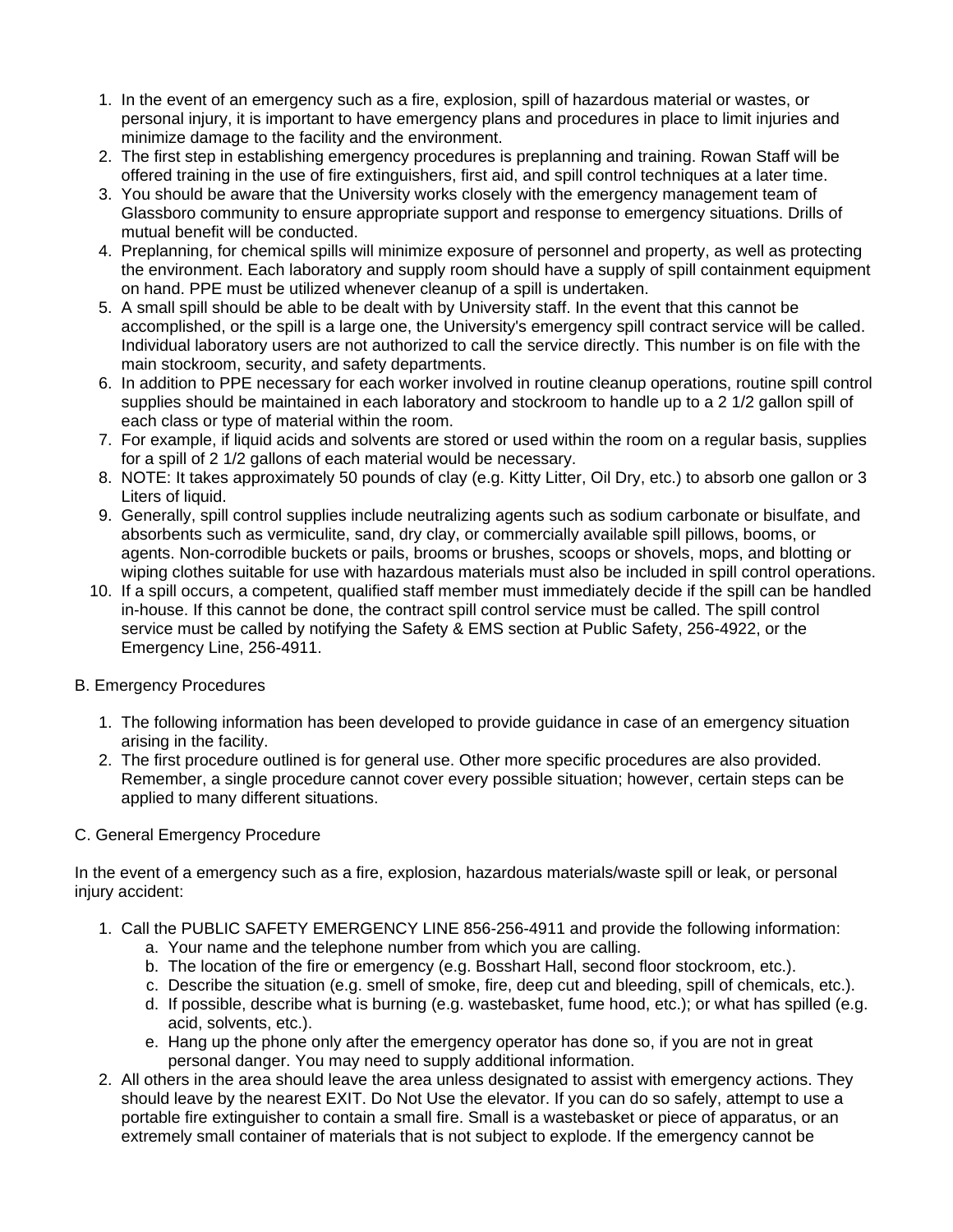- 1. In the event of an emergency such as a fire, explosion, spill of hazardous material or wastes, or personal injury, it is important to have emergency plans and procedures in place to limit injuries and minimize damage to the facility and the environment.
- 2. The first step in establishing emergency procedures is preplanning and training. Rowan Staff will be offered training in the use of fire extinguishers, first aid, and spill control techniques at a later time.
- 3. You should be aware that the University works closely with the emergency management team of Glassboro community to ensure appropriate support and response to emergency situations. Drills of mutual benefit will be conducted.
- 4. Preplanning, for chemical spills will minimize exposure of personnel and property, as well as protecting the environment. Each laboratory and supply room should have a supply of spill containment equipment on hand. PPE must be utilized whenever cleanup of a spill is undertaken.
- 5. A small spill should be able to be dealt with by University staff. In the event that this cannot be accomplished, or the spill is a large one, the University's emergency spill contract service will be called. Individual laboratory users are not authorized to call the service directly. This number is on file with the main stockroom, security, and safety departments.
- 6. In addition to PPE necessary for each worker involved in routine cleanup operations, routine spill control supplies should be maintained in each laboratory and stockroom to handle up to a 2 1/2 gallon spill of each class or type of material within the room.
- 7. For example, if liquid acids and solvents are stored or used within the room on a regular basis, supplies for a spill of 2 1/2 gallons of each material would be necessary.
- 8. NOTE: It takes approximately 50 pounds of clay (e.g. Kitty Litter, Oil Dry, etc.) to absorb one gallon or 3 Liters of liquid.
- 9. Generally, spill control supplies include neutralizing agents such as sodium carbonate or bisulfate, and absorbents such as vermiculite, sand, dry clay, or commercially available spill pillows, booms, or agents. Non-corrodible buckets or pails, brooms or brushes, scoops or shovels, mops, and blotting or wiping clothes suitable for use with hazardous materials must also be included in spill control operations.
- 10. If a spill occurs, a competent, qualified staff member must immediately decide if the spill can be handled in-house. If this cannot be done, the contract spill control service must be called. The spill control service must be called by notifying the Safety & EMS section at Public Safety, 256-4922, or the Emergency Line, 256-4911.

## B. Emergency Procedures

- 1. The following information has been developed to provide guidance in case of an emergency situation arising in the facility.
- 2. The first procedure outlined is for general use. Other more specific procedures are also provided. Remember, a single procedure cannot cover every possible situation; however, certain steps can be applied to many different situations.

## C. General Emergency Procedure

In the event of a emergency such as a fire, explosion, hazardous materials/waste spill or leak, or personal injury accident:

- 1. Call the PUBLIC SAFETY EMERGENCY LINE 856-256-4911 and provide the following information:
	- a. Your name and the telephone number from which you are calling.
	- b. The location of the fire or emergency (e.g. Bosshart Hall, second floor stockroom, etc.).
	- c. Describe the situation (e.g. smell of smoke, fire, deep cut and bleeding, spill of chemicals, etc.).
	- d. If possible, describe what is burning (e.g. wastebasket, fume hood, etc.); or what has spilled (e.g. acid, solvents, etc.).
	- e. Hang up the phone only after the emergency operator has done so, if you are not in great personal danger. You may need to supply additional information.
- 2. All others in the area should leave the area unless designated to assist with emergency actions. They should leave by the nearest EXIT. Do Not Use the elevator. If you can do so safely, attempt to use a portable fire extinguisher to contain a small fire. Small is a wastebasket or piece of apparatus, or an extremely small container of materials that is not subject to explode. If the emergency cannot be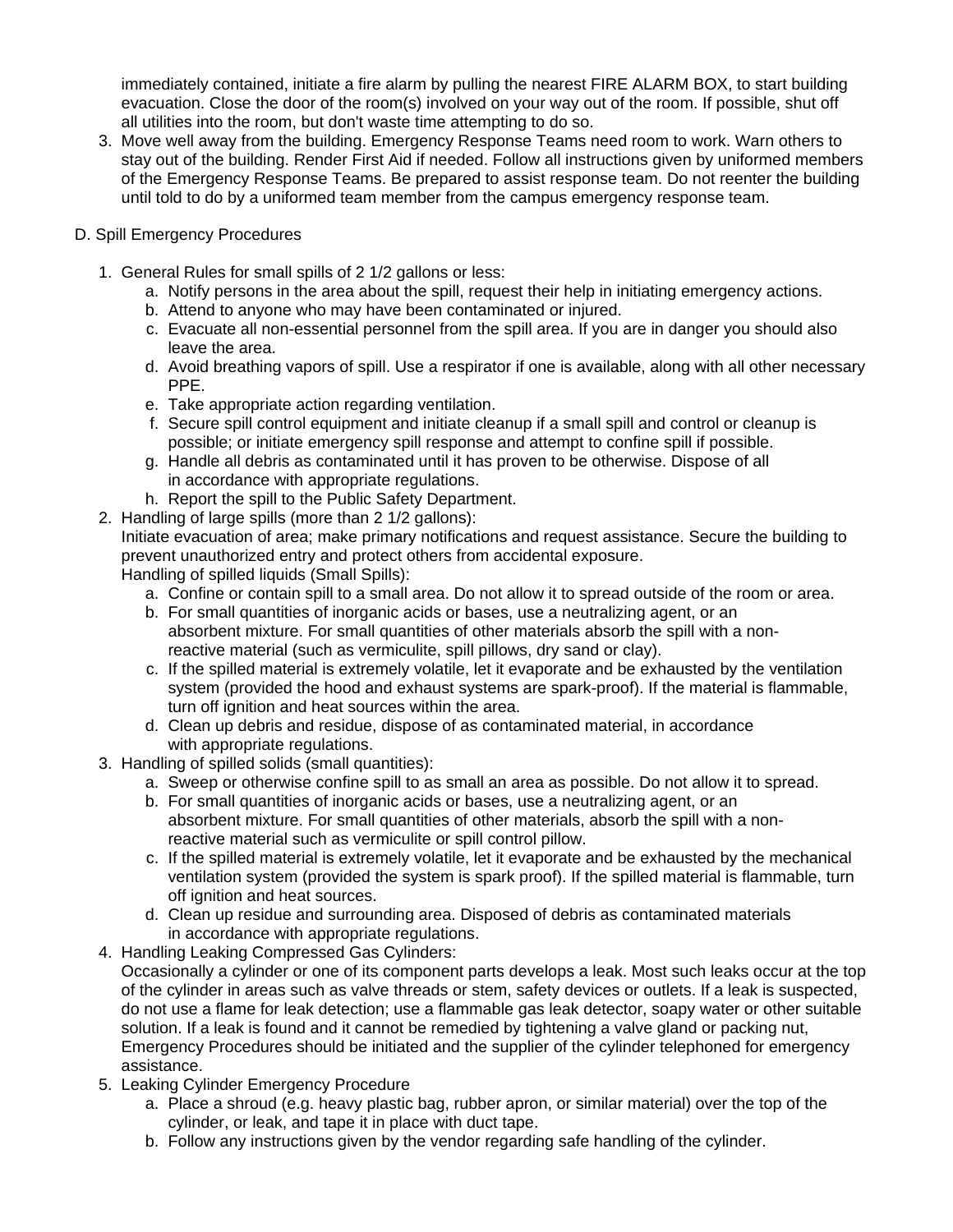immediately contained, initiate a fire alarm by pulling the nearest FIRE ALARM BOX, to start building evacuation. Close the door of the room(s) involved on your way out of the room. If possible, shut off all utilities into the room, but don't waste time attempting to do so.

- 3. Move well away from the building. Emergency Response Teams need room to work. Warn others to stay out of the building. Render First Aid if needed. Follow all instructions given by uniformed members of the Emergency Response Teams. Be prepared to assist response team. Do not reenter the building until told to do by a uniformed team member from the campus emergency response team.
- D. Spill Emergency Procedures
	- 1. General Rules for small spills of 2 1/2 gallons or less:
		- a. Notify persons in the area about the spill, request their help in initiating emergency actions.
		- b. Attend to anyone who may have been contaminated or injured.
		- c. Evacuate all non-essential personnel from the spill area. If you are in danger you should also leave the area.
		- d. Avoid breathing vapors of spill. Use a respirator if one is available, along with all other necessary PPE.
		- e. Take appropriate action regarding ventilation.
		- f. Secure spill control equipment and initiate cleanup if a small spill and control or cleanup is possible; or initiate emergency spill response and attempt to confine spill if possible.
		- g. Handle all debris as contaminated until it has proven to be otherwise. Dispose of all in accordance with appropriate regulations.
		- h. Report the spill to the Public Safety Department.
	- 2. Handling of large spills (more than 2 1/2 gallons):

Initiate evacuation of area; make primary notifications and request assistance. Secure the building to prevent unauthorized entry and protect others from accidental exposure.

Handling of spilled liquids (Small Spills):

- a. Confine or contain spill to a small area. Do not allow it to spread outside of the room or area.
- b. For small quantities of inorganic acids or bases, use a neutralizing agent, or an absorbent mixture. For small quantities of other materials absorb the spill with a nonreactive material (such as vermiculite, spill pillows, dry sand or clay).
- c. If the spilled material is extremely volatile, let it evaporate and be exhausted by the ventilation system (provided the hood and exhaust systems are spark-proof). If the material is flammable, turn off ignition and heat sources within the area.
- d. Clean up debris and residue, dispose of as contaminated material, in accordance with appropriate regulations.
- 3. Handling of spilled solids (small quantities):
	- a. Sweep or otherwise confine spill to as small an area as possible. Do not allow it to spread.
	- b. For small quantities of inorganic acids or bases, use a neutralizing agent, or an absorbent mixture. For small quantities of other materials, absorb the spill with a nonreactive material such as vermiculite or spill control pillow.
	- c. If the spilled material is extremely volatile, let it evaporate and be exhausted by the mechanical ventilation system (provided the system is spark proof). If the spilled material is flammable, turn off ignition and heat sources.
	- d. Clean up residue and surrounding area. Disposed of debris as contaminated materials in accordance with appropriate regulations.
- 4. Handling Leaking Compressed Gas Cylinders:

Occasionally a cylinder or one of its component parts develops a leak. Most such leaks occur at the top of the cylinder in areas such as valve threads or stem, safety devices or outlets. If a leak is suspected, do not use a flame for leak detection; use a flammable gas leak detector, soapy water or other suitable solution. If a leak is found and it cannot be remedied by tightening a valve gland or packing nut, Emergency Procedures should be initiated and the supplier of the cylinder telephoned for emergency assistance.

- 5. Leaking Cylinder Emergency Procedure
	- a. Place a shroud (e.g. heavy plastic bag, rubber apron, or similar material) over the top of the cylinder, or leak, and tape it in place with duct tape.
	- b. Follow any instructions given by the vendor regarding safe handling of the cylinder.